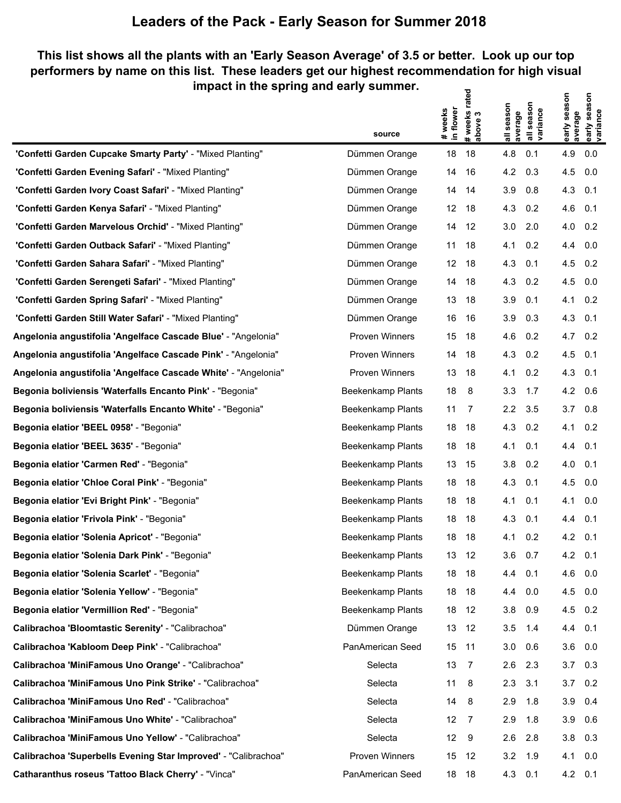## **Leaders of the Pack - Early Season for Summer 2018**

## **This list shows all the plants with an 'Early Season Average' of 3.5 or better. Look up our top performers by name on this list. These leaders get our highest recommendation for high visual impact in the spring and early summer. # weeks rated**

|                                                                | source                   | # weeks<br>in flower | # weeks rate<br>above 3 | all season<br>average | season<br>all seasor<br> variance | early season<br>average | early season<br>variance |
|----------------------------------------------------------------|--------------------------|----------------------|-------------------------|-----------------------|-----------------------------------|-------------------------|--------------------------|
| 'Confetti Garden Cupcake Smarty Party' - "Mixed Planting"      | Dümmen Orange            | 18                   | 18                      | 4.8                   | 0.1                               | 4.9                     | 0.0                      |
| 'Confetti Garden Evening Safari' - "Mixed Planting"            | Dümmen Orange            | 14                   | 16                      | 4.2                   | 0.3                               | 4.5                     | 0.0                      |
| "Confetti Garden Ivory Coast Safari' - "Mixed Planting"        | Dümmen Orange            | 14                   | 14                      | 3.9                   | 0.8                               | 4.3                     | 0.1                      |
| 'Confetti Garden Kenya Safari' - "Mixed Planting"              | Dümmen Orange            | $12 \overline{ }$    | 18                      | 4.3                   | 0.2                               | 4.6                     | 0.1                      |
| "Confetti Garden Marvelous Orchid' - "Mixed Planting"          | Dümmen Orange            | 14                   | 12                      | 3.0                   | 2.0                               | 4.0                     | 0.2                      |
| 'Confetti Garden Outback Safari' - "Mixed Planting"            | Dümmen Orange            | 11                   | 18                      | 4.1                   | 0.2                               | 4.4                     | 0.0                      |
| 'Confetti Garden Sahara Safari' - "Mixed Planting"             | Dümmen Orange            | 12                   | 18                      | 4.3                   | 0.1                               | 4.5                     | 0.2                      |
| 'Confetti Garden Serengeti Safari' - "Mixed Planting"          | Dümmen Orange            | 14                   | 18                      | 4.3                   | 0.2                               | 4.5                     | 0.0                      |
| 'Confetti Garden Spring Safari' - "Mixed Planting"             | Dümmen Orange            | 13                   | 18                      | 3.9                   | 0.1                               | 4.1                     | 0.2                      |
| "Confetti Garden Still Water Safari' - "Mixed Planting"        | Dümmen Orange            | 16                   | 16                      | 3.9                   | 0.3                               | 4.3                     | 0.1                      |
| Angelonia angustifolia 'Angelface Cascade Blue' - "Angelonia"  | <b>Proven Winners</b>    | 15                   | 18                      | 4.6                   | 0.2                               | 4.7                     | 0.2                      |
| Angelonia angustifolia 'Angelface Cascade Pink' - "Angelonia"  | Proven Winners           | 14                   | 18                      | 4.3                   | 0.2                               | 4.5                     | 0.1                      |
| Angelonia angustifolia 'Angelface Cascade White' - "Angelonia" | Proven Winners           | 13                   | 18                      | 4.1                   | 0.2                               | 4.3                     | 0.1                      |
| Begonia boliviensis 'Waterfalls Encanto Pink' - "Begonia"      | Beekenkamp Plants        | 18                   | 8                       | 3.3                   | 1.7                               | 4.2                     | 0.6                      |
| Begonia boliviensis 'Waterfalls Encanto White' - "Begonia"     | Beekenkamp Plants        | 11                   | 7                       | 2.2                   | 3.5                               | 3.7                     | 0.8                      |
| Begonia elatior 'BEEL 0958' - "Begonia"                        | Beekenkamp Plants        | 18                   | 18                      | 4.3                   | 0.2                               | 4.1                     | 0.2                      |
| Begonia elatior 'BEEL 3635' - "Begonia"                        | Beekenkamp Plants        | 18                   | 18                      | 4.1                   | 0.1                               | 4.4                     | 0.1                      |
| Begonia elatior 'Carmen Red' - "Begonia"                       | Beekenkamp Plants        | 13                   | 15                      | 3.8                   | 0.2                               | 4.0                     | 0.1                      |
| Begonia elatior 'Chloe Coral Pink' - "Begonia"                 | Beekenkamp Plants        | 18                   | 18                      | 4.3                   | 0.1                               | 4.5                     | 0.0                      |
| Begonia elatior 'Evi Bright Pink' - "Begonia"                  | Beekenkamp Plants        | 18                   | 18                      | 4.1                   | 0.1                               | 4.1                     | 0.0                      |
| Begonia elatior 'Frivola Pink' - "Begonia"                     | <b>Beekenkamp Plants</b> | 18                   | 18                      | 4.3                   | 0.1                               | 4.4                     | 0.1                      |
| Begonia elatior 'Solenia Apricot' - "Begonia"                  | Beekenkamp Plants        | 18                   | 18                      | 4.1                   | 0.2                               | 4.2                     | 0.1                      |
| Begonia elatior 'Solenia Dark Pink' - "Begonia"                | <b>Beekenkamp Plants</b> | 13                   | 12                      | 3.6                   | 0.7                               | 4.2                     | 0.1                      |
| Begonia elatior 'Solenia Scarlet' - "Begonia"                  | <b>Beekenkamp Plants</b> | 18                   | 18                      | 4.4                   | 0.1                               | 4.6                     | 0.0                      |
| Begonia elatior 'Solenia Yellow' - "Begonia"                   | Beekenkamp Plants        | 18                   | 18                      | 4.4                   | 0.0                               | 4.5                     | 0.0                      |
| Begonia elatior 'Vermillion Red' - "Begonia"                   | <b>Beekenkamp Plants</b> | 18                   | 12                      | 3.8                   | 0.9                               | 4.5                     | 0.2                      |
| Calibrachoa 'Bloomtastic Serenity' - "Calibrachoa"             | Dümmen Orange            | 13                   | 12                      | 3.5                   | 1.4                               | 4.4                     | 0.1                      |
| Calibrachoa 'Kabloom Deep Pink' - "Calibrachoa"                | PanAmerican Seed         | 15                   | -11                     | 3.0                   | 0.6                               | 3.6                     | 0.0                      |
| Calibrachoa 'MiniFamous Uno Orange' - "Calibrachoa"            | Selecta                  | 13                   | 7                       | 2.6                   | 2.3                               | 3.7                     | 0.3                      |
| Calibrachoa 'MiniFamous Uno Pink Strike' - "Calibrachoa"       | Selecta                  | 11                   | 8                       | 2.3                   | 3.1                               | 3.7                     | 0.2                      |
| Calibrachoa 'MiniFamous Uno Red' - "Calibrachoa"               | Selecta                  | 14                   | 8                       | 2.9                   | 1.8                               | 3.9                     | 0.4                      |
| Calibrachoa 'MiniFamous Uno White' - "Calibrachoa"             | Selecta                  | 12                   | 7                       | 2.9                   | 1.8                               | 3.9                     | 0.6                      |
| Calibrachoa 'MiniFamous Uno Yellow' - "Calibrachoa"            | Selecta                  | $12 \overline{ }$    | 9                       | 2.6                   | 2.8                               | 3.8                     | 0.3                      |
| Calibrachoa 'Superbells Evening Star Improved' - "Calibrachoa" | Proven Winners           | 15                   | 12                      | 3.2                   | 1.9                               | 4.1                     | 0.0                      |
| Catharanthus roseus 'Tattoo Black Cherry' - "Vinca"            | PanAmerican Seed         | 18                   | 18                      | 4.3                   | 0.1                               | $4.2 \quad 0.1$         |                          |